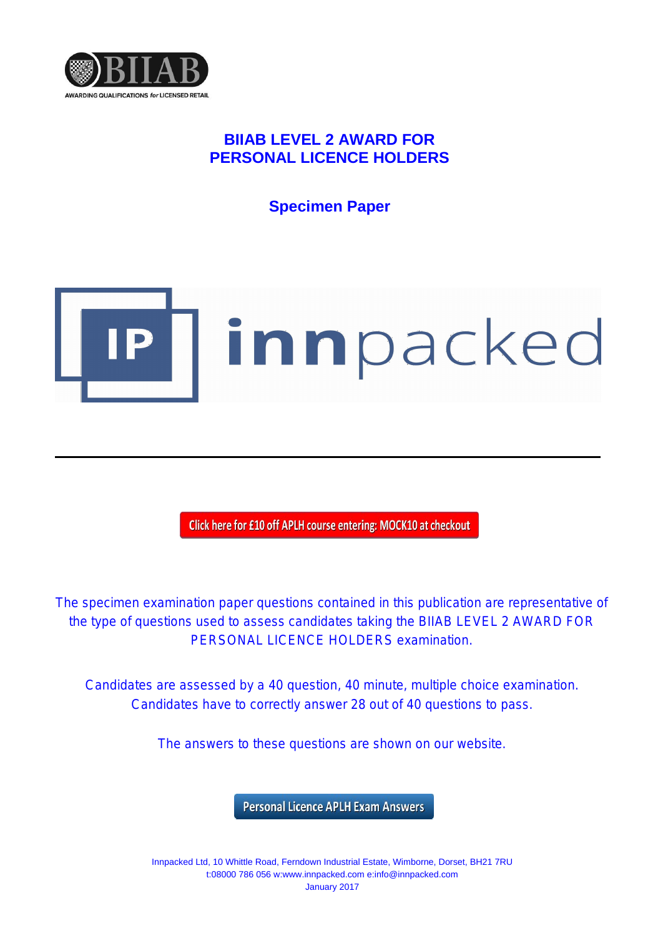

## **BIIAB LEVEL 2 AWARD FOR PERSONAL LICENCE HOLDERS**

**Specimen Paper**



Click here for £10 off APLH course entering: MOCK10 at checkout

The specimen examination paper questions contained in this publication are representative of the type of questions used to assess candidates taking the BIIAB LEVEL 2 AWARD FOR PERSONAL LICENCE HOLDERS examination.

Candidates are assessed by a 40 question, 40 minute, multiple choice examination. Candidates have to correctly answer 28 out of 40 questions to pass.

The answers to these questions are shown on our website.

**Personal Licence APLH Exam Answers** 

Innpacked Ltd, 10 Whittle Road, Ferndown Industrial Estate, Wimborne, Dorset, BH21 7RU t:08000 786 056 w:www.innpacked.com e:info@innpacked.com January 2017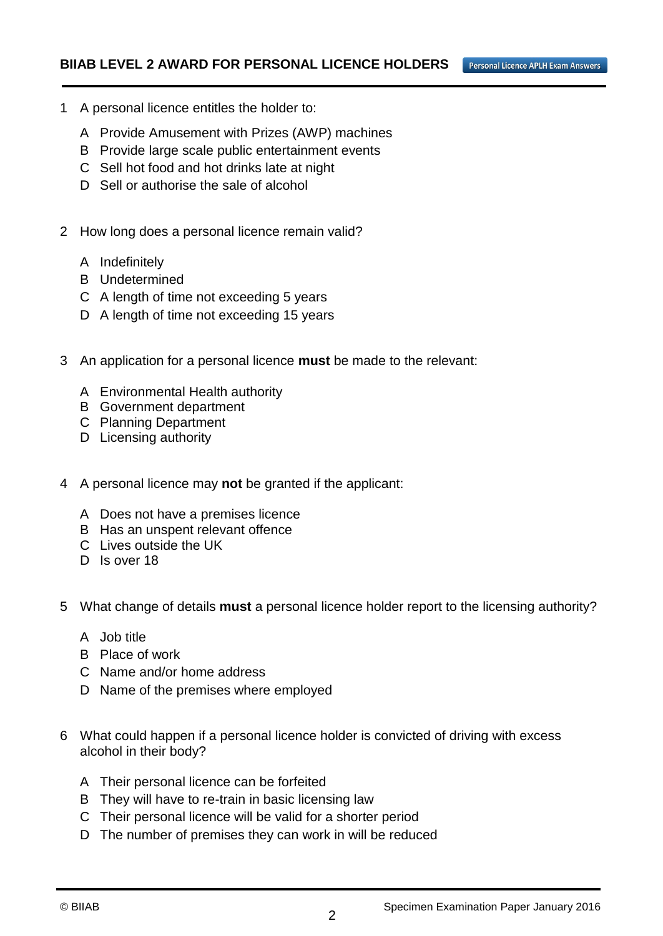Personal Licence APLH Exam Answers

- 1 A personal licence entitles the holder to:
	- A Provide Amusement with Prizes (AWP) machines
	- B Provide large scale public entertainment events
	- C Sell hot food and hot drinks late at night
	- D Sell or authorise the sale of alcohol
- 2 How long does a personal licence remain valid?
	- A Indefinitely
	- B Undetermined
	- C A length of time not exceeding 5 years
	- D A length of time not exceeding 15 years
- 3 An application for a personal licence **must** be made to the relevant:
	- A Environmental Health authority
	- B Government department
	- C Planning Department
	- D Licensing authority
- 4 A personal licence may **not** be granted if the applicant:
	- A Does not have a premises licence
	- B Has an unspent relevant offence
	- C Lives outside the UK
	- D Is over 18
- 5 What change of details **must** a personal licence holder report to the licensing authority?
	- A Job title
	- B Place of work
	- C Name and/or home address
	- D Name of the premises where employed
- 6 What could happen if a personal licence holder is convicted of driving with excess alcohol in their body?
	- A Their personal licence can be forfeited
	- B They will have to re-train in basic licensing law
	- C Their personal licence will be valid for a shorter period
	- D The number of premises they can work in will be reduced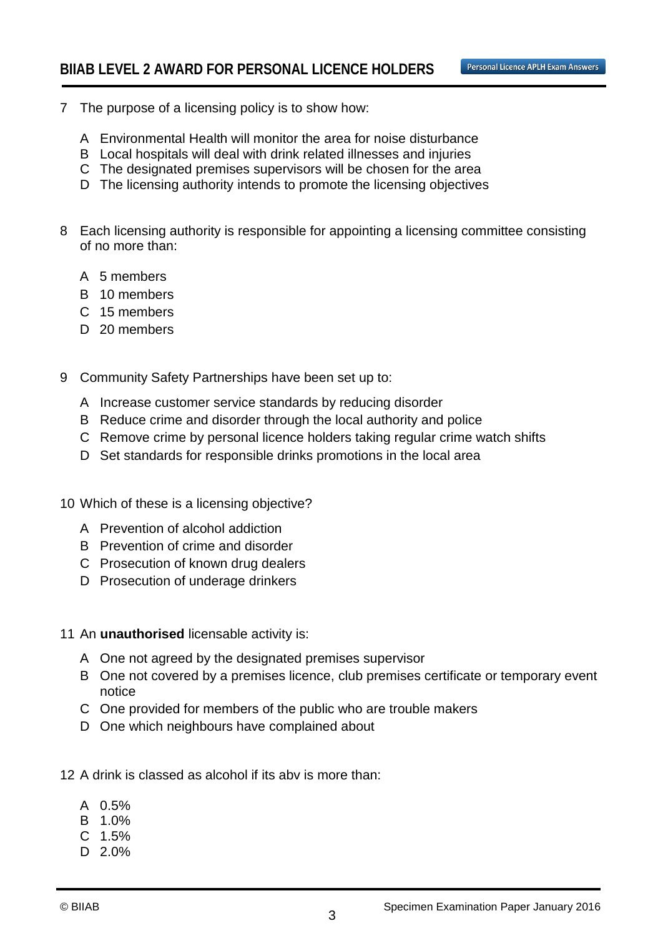- 7 The purpose of a licensing policy is to show how:
	- A Environmental Health will monitor the area for noise disturbance
	- B Local hospitals will deal with drink related illnesses and injuries
	- C The designated premises supervisors will be chosen for the area
	- D The licensing authority intends to promote the licensing objectives
- 8 Each licensing authority is responsible for appointing a licensing committee consisting of no more than:
	- A 5 members
	- B 10 members
	- C 15 members
	- D 20 members
- 9 Community Safety Partnerships have been set up to:
	- A Increase customer service standards by reducing disorder
	- B Reduce crime and disorder through the local authority and police
	- C Remove crime by personal licence holders taking regular crime watch shifts
	- D Set standards for responsible drinks promotions in the local area
- 10 Which of these is a licensing objective?
	- A Prevention of alcohol addiction
	- B Prevention of crime and disorder
	- C Prosecution of known drug dealers
	- D Prosecution of underage drinkers
- 11 An **unauthorised** licensable activity is:
	- A One not agreed by the designated premises supervisor
	- B One not covered by a premises licence, club premises certificate or temporary event notice
	- C One provided for members of the public who are trouble makers
	- D One which neighbours have complained about
- 12 A drink is classed as alcohol if its abv is more than:
	- A 0.5%
	- B 1.0%
	- C 1.5%
	- D 2.0%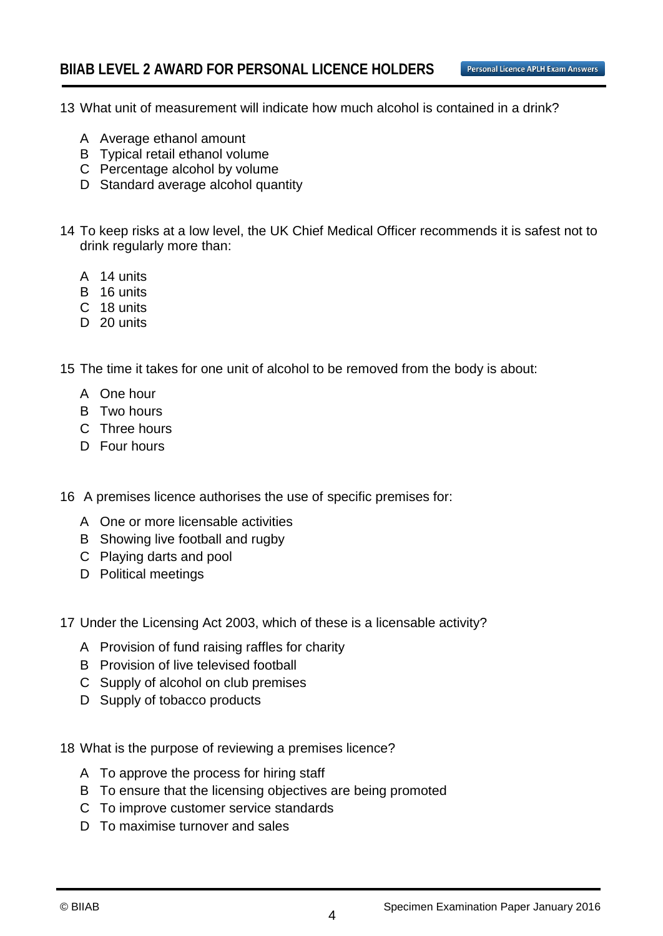- 13 What unit of measurement will indicate how much alcohol is contained in a drink?
	- A Average ethanol amount
	- B Typical retail ethanol volume
	- C Percentage alcohol by volume
	- D Standard average alcohol quantity
- 14 To keep risks at a low level, the UK Chief Medical Officer recommends it is safest not to drink regularly more than:
	- A 14 units
	- B 16 units
	- C 18 units
	- D 20 units
- 15 The time it takes for one unit of alcohol to be removed from the body is about:
	- A One hour
	- B Two hours
	- C Three hours
	- D Four hours
- 16 A premises licence authorises the use of specific premises for:
	- A One or more licensable activities
	- B Showing live football and rugby
	- C Playing darts and pool
	- D Political meetings
- 17 Under the Licensing Act 2003, which of these is a licensable activity?
	- A Provision of fund raising raffles for charity
	- B Provision of live televised football
	- C Supply of alcohol on club premises
	- D Supply of tobacco products
- 18 What is the purpose of reviewing a premises licence?
	- A To approve the process for hiring staff
	- B To ensure that the licensing objectives are being promoted
	- C To improve customer service standards
	- D To maximise turnover and sales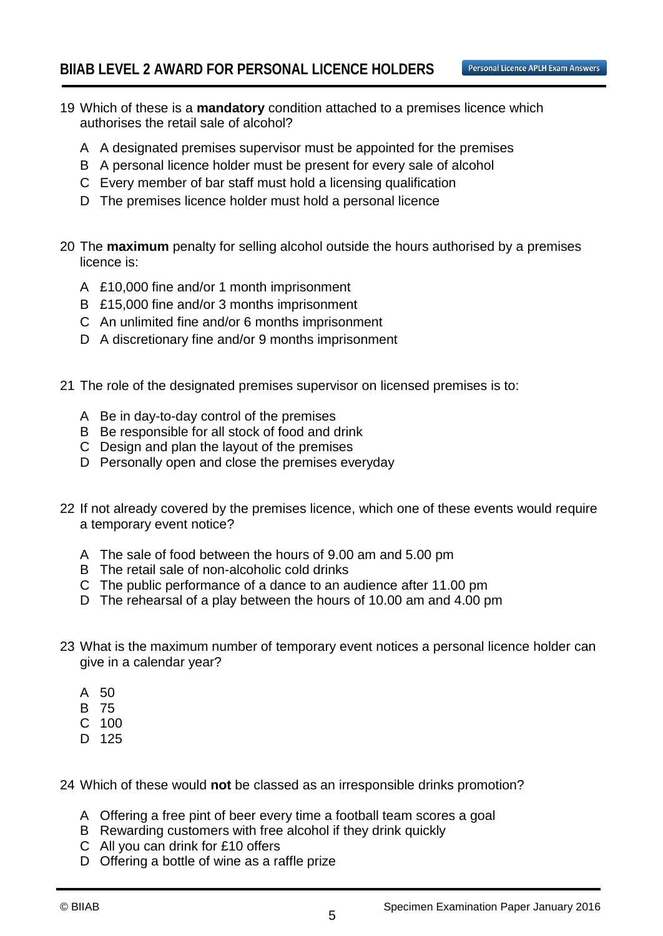- 19 Which of these is a **mandatory** condition attached to a premises licence which authorises the retail sale of alcohol?
	- A A designated premises supervisor must be appointed for the premises
	- B A personal licence holder must be present for every sale of alcohol
	- C Every member of bar staff must hold a licensing qualification
	- D The premises licence holder must hold a personal licence
- 20 The **maximum** penalty for selling alcohol outside the hours authorised by a premises licence is:
	- A £10,000 fine and/or 1 month imprisonment
	- B £15,000 fine and/or 3 months imprisonment
	- C An unlimited fine and/or 6 months imprisonment
	- D A discretionary fine and/or 9 months imprisonment
- 21 The role of the designated premises supervisor on licensed premises is to:
	- A Be in day-to-day control of the premises
	- B Be responsible for all stock of food and drink
	- C Design and plan the layout of the premises
	- D Personally open and close the premises everyday
- 22 If not already covered by the premises licence, which one of these events would require a temporary event notice?
	- A The sale of food between the hours of 9.00 am and 5.00 pm
	- B The retail sale of non-alcoholic cold drinks
	- C The public performance of a dance to an audience after 11.00 pm
	- D The rehearsal of a play between the hours of 10.00 am and 4.00 pm
- 23 What is the maximum number of temporary event notices a personal licence holder can give in a calendar year?
	- A 50
	- B 75
	- C 100
	- D 125

24 Which of these would **not** be classed as an irresponsible drinks promotion?

- A Offering a free pint of beer every time a football team scores a goal
- B Rewarding customers with free alcohol if they drink quickly
- C All you can drink for £10 offers
- D Offering a bottle of wine as a raffle prize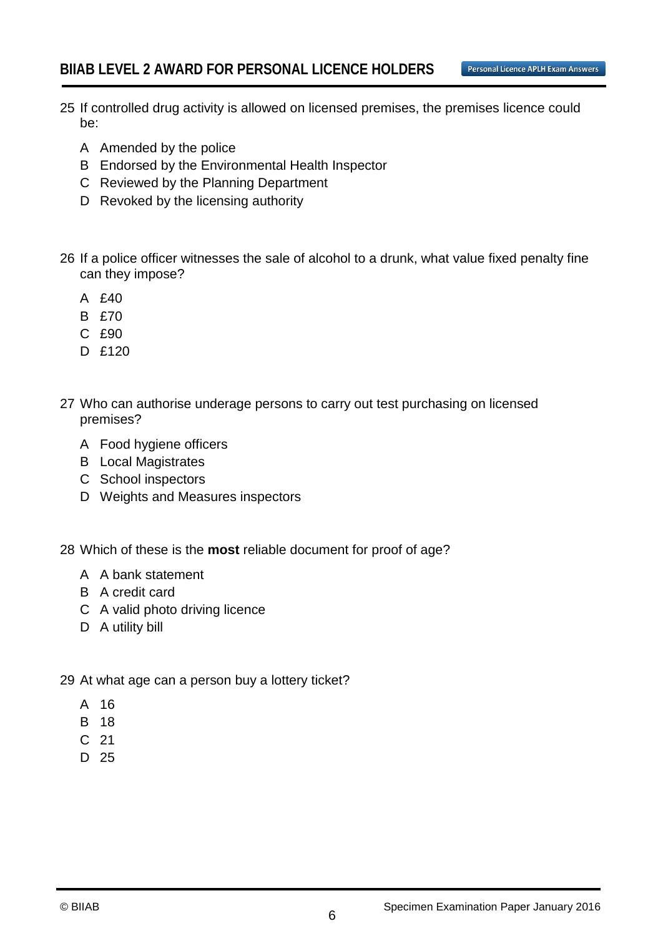- 25 If controlled drug activity is allowed on licensed premises, the premises licence could be:
	- A Amended by the police
	- B Endorsed by the Environmental Health Inspector
	- C Reviewed by the Planning Department
	- D Revoked by the licensing authority
- 26 If a police officer witnesses the sale of alcohol to a drunk, what value fixed penalty fine can they impose?
	- A £40
	- B £70
	- C £90
	- D £120
- 27 Who can authorise underage persons to carry out test purchasing on licensed premises?
	- A Food hygiene officers
	- B Local Magistrates
	- C School inspectors
	- D Weights and Measures inspectors

28 Which of these is the **most** reliable document for proof of age?

- A A bank statement
- B A credit card
- C A valid photo driving licence
- D A utility bill
- 29 At what age can a person buy a lottery ticket?
	- A 16
	- B 18
	- C 21
	- D 25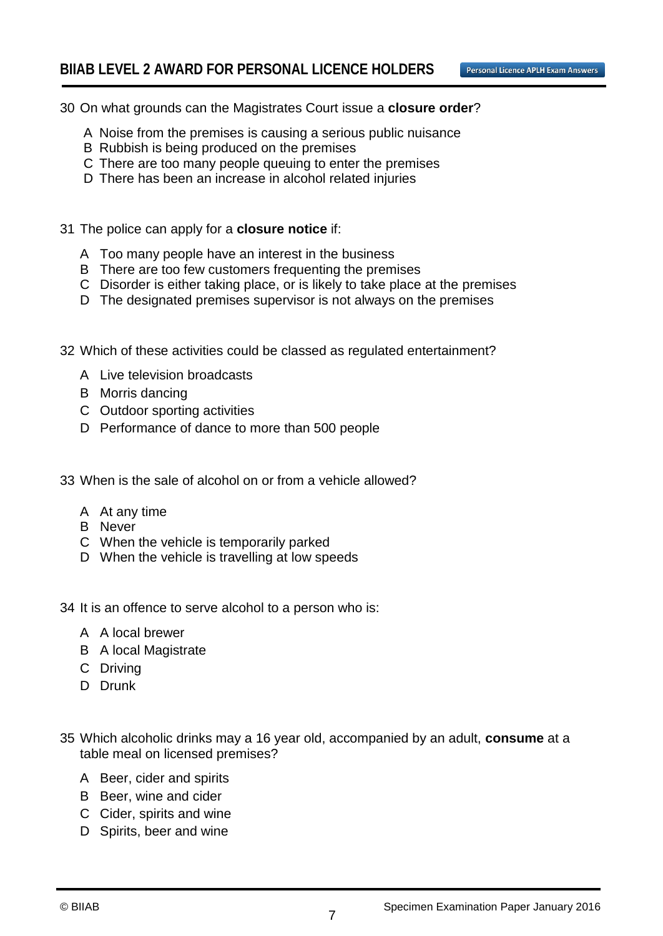- 30 On what grounds can the Magistrates Court issue a **closure order**?
	- A Noise from the premises is causing a serious public nuisance
	- B Rubbish is being produced on the premises
	- C There are too many people queuing to enter the premises
	- D There has been an increase in alcohol related injuries
- 31 The police can apply for a **closure notice** if:
	- A Too many people have an interest in the business
	- B There are too few customers frequenting the premises
	- C Disorder is either taking place, or is likely to take place at the premises
	- D The designated premises supervisor is not always on the premises
- 32 Which of these activities could be classed as regulated entertainment?
	- A Live television broadcasts
	- B Morris dancing
	- C Outdoor sporting activities
	- D Performance of dance to more than 500 people
- 33 When is the sale of alcohol on or from a vehicle allowed?
	- A At any time
	- B Never
	- C When the vehicle is temporarily parked
	- D When the vehicle is travelling at low speeds
- 34 It is an offence to serve alcohol to a person who is:
	- A A local brewer
	- B A local Magistrate
	- C Driving
	- D Drunk
- 35 Which alcoholic drinks may a 16 year old, accompanied by an adult, **consume** at a table meal on licensed premises?
	- A Beer, cider and spirits
	- B Beer, wine and cider
	- C Cider, spirits and wine
	- D Spirits, beer and wine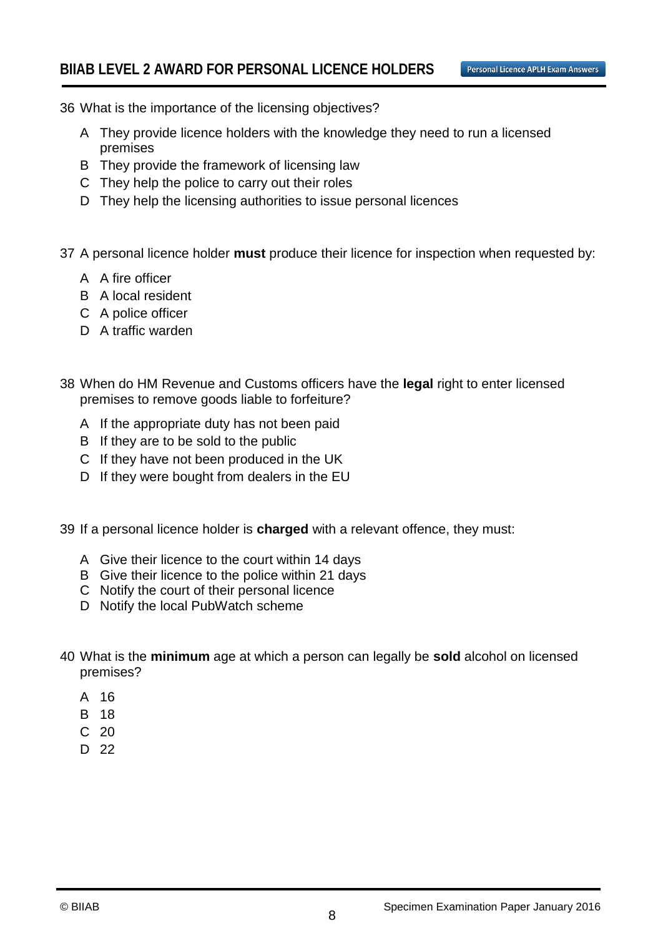- 36 What is the importance of the licensing objectives?
	- A They provide licence holders with the knowledge they need to run a licensed premises
	- B They provide the framework of licensing law
	- C They help the police to carry out their roles
	- D They help the licensing authorities to issue personal licences
- 37 A personal licence holder **must** produce their licence for inspection when requested by:
	- A A fire officer
	- B A local resident
	- C A police officer
	- D A traffic warden
- 38 When do HM Revenue and Customs officers have the **legal** right to enter licensed premises to remove goods liable to forfeiture?
	- A If the appropriate duty has not been paid
	- B If they are to be sold to the public
	- C If they have not been produced in the UK
	- D If they were bought from dealers in the EU
- 39 If a personal licence holder is **charged** with a relevant offence, they must:
	- A Give their licence to the court within 14 days
	- B Give their licence to the police within 21 days
	- C Notify the court of their personal licence
	- D Notify the local PubWatch scheme
- 40 What is the **minimum** age at which a person can legally be **sold** alcohol on licensed premises?
	- A 16
	- B 18
	- C 20
	- D 22